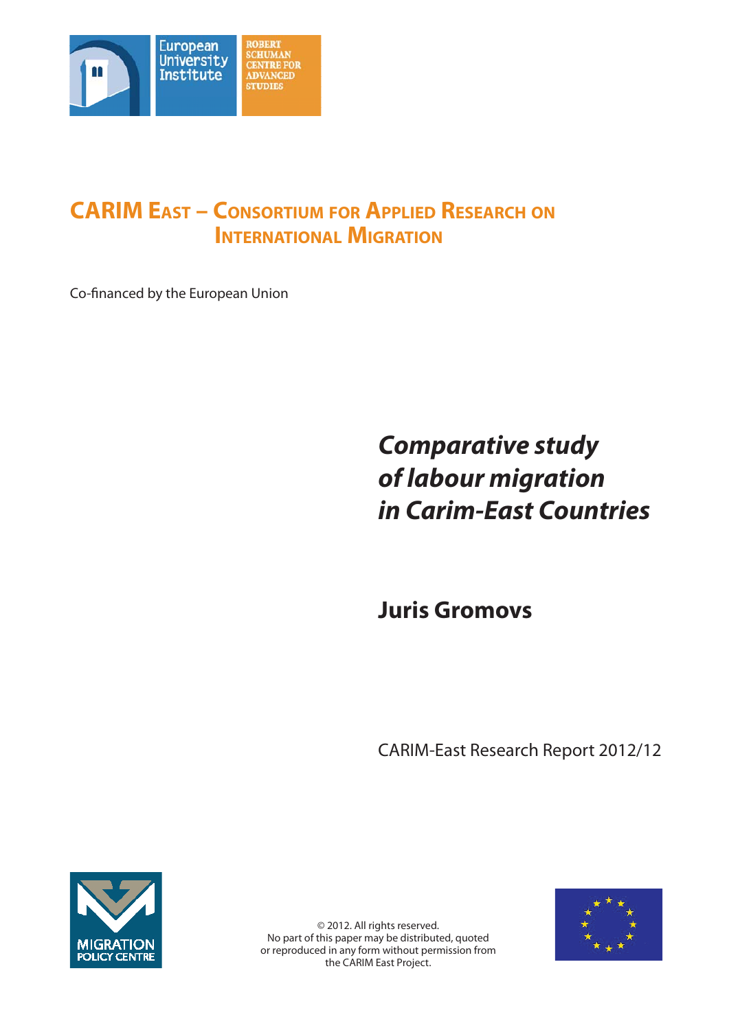

# **CARIM EAST – CONSORTIUM FOR APPLIED RESEARCH ON INTERNATIONAL MIGRATION**

Co-financed by the European Union

# *Comparative study of labour migration in Carim-East Countries*

**Juris Gromovs**

CARIM-East Research Report 2012/12





© 2012. All rights reserved. No part of this paper may be distributed, quoted or reproduced in any form without permission from the CARIM East Project.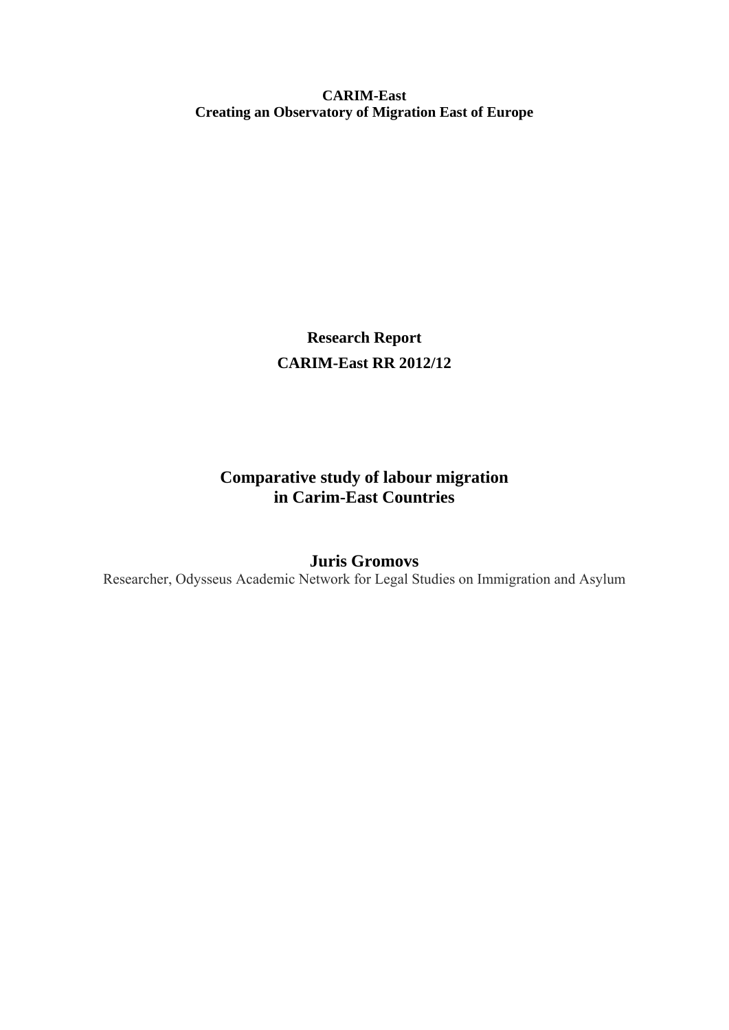**CARIM-East Creating an Observatory of Migration East of Europe** 

> **Research Report CARIM-East RR 2012/12**

# **Comparative study of labour migration in Carim-East Countries**

# **Juris Gromovs**

Researcher, Odysseus Academic Network for Legal Studies on Immigration and Asylum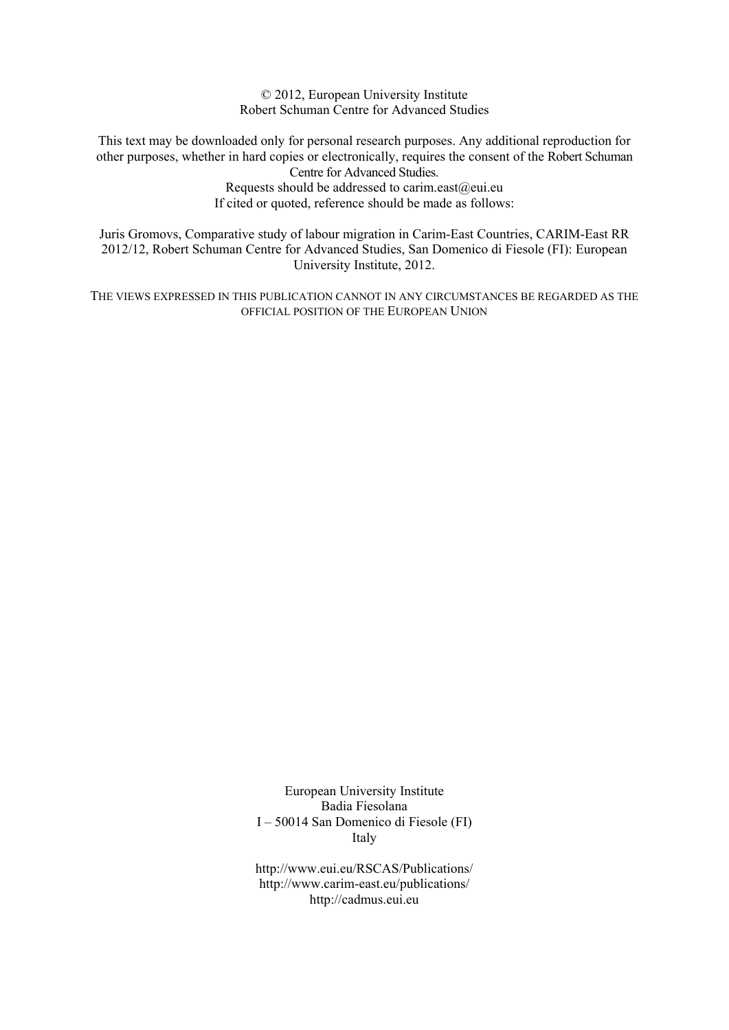© 2012, European University Institute Robert Schuman Centre for Advanced Studies

This text may be downloaded only for personal research purposes. Any additional reproduction for other purposes, whether in hard copies or electronically, requires the consent of the Robert Schuman Centre for Advanced Studies.

> Requests should be addressed to carim.east@eui.eu If cited or quoted, reference should be made as follows:

Juris Gromovs, Comparative study of labour migration in Carim-East Countries, CARIM-East RR 2012/12, Robert Schuman Centre for Advanced Studies, San Domenico di Fiesole (FI): European University Institute, 2012.

THE VIEWS EXPRESSED IN THIS PUBLICATION CANNOT IN ANY CIRCUMSTANCES BE REGARDED AS THE OFFICIAL POSITION OF THE EUROPEAN UNION

> European University Institute Badia Fiesolana I – 50014 San Domenico di Fiesole (FI) Italy

> http://www.eui.eu/RSCAS/Publications/ http://www.carim-east.eu/publications/ http://cadmus.eui.eu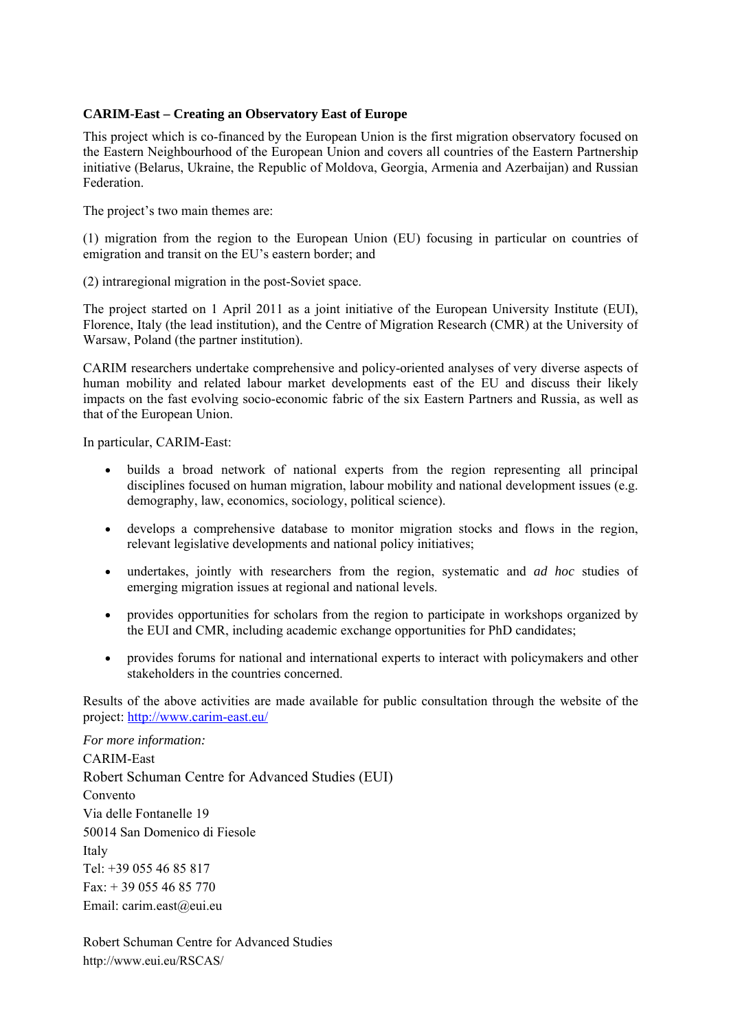# **CARIM-East – Creating an Observatory East of Europe**

This project which is co-financed by the European Union is the first migration observatory focused on the Eastern Neighbourhood of the European Union and covers all countries of the Eastern Partnership initiative (Belarus, Ukraine, the Republic of Moldova, Georgia, Armenia and Azerbaijan) and Russian Federation.

The project's two main themes are:

(1) migration from the region to the European Union (EU) focusing in particular on countries of emigration and transit on the EU's eastern border; and

(2) intraregional migration in the post-Soviet space.

The project started on 1 April 2011 as a joint initiative of the European University Institute (EUI), Florence, Italy (the lead institution), and the Centre of Migration Research (CMR) at the University of Warsaw, Poland (the partner institution).

CARIM researchers undertake comprehensive and policy-oriented analyses of very diverse aspects of human mobility and related labour market developments east of the EU and discuss their likely impacts on the fast evolving socio-economic fabric of the six Eastern Partners and Russia, as well as that of the European Union.

In particular, CARIM-East:

- builds a broad network of national experts from the region representing all principal disciplines focused on human migration, labour mobility and national development issues (e.g. demography, law, economics, sociology, political science).
- develops a comprehensive database to monitor migration stocks and flows in the region, relevant legislative developments and national policy initiatives;
- undertakes, jointly with researchers from the region, systematic and *ad hoc* studies of emerging migration issues at regional and national levels.
- provides opportunities for scholars from the region to participate in workshops organized by the EUI and CMR, including academic exchange opportunities for PhD candidates;
- provides forums for national and international experts to interact with policymakers and other stakeholders in the countries concerned.

Results of the above activities are made available for public consultation through the website of the project: http://www.carim-east.eu/

*For more information:*  CARIM-East Robert Schuman Centre for Advanced Studies (EUI) Convento Via delle Fontanelle 19 50014 San Domenico di Fiesole Italy Tel: +39 055 46 85 817 Fax: + 39 055 46 85 770 Email: carim.east@eui.eu

Robert Schuman Centre for Advanced Studies http://www.eui.eu/RSCAS/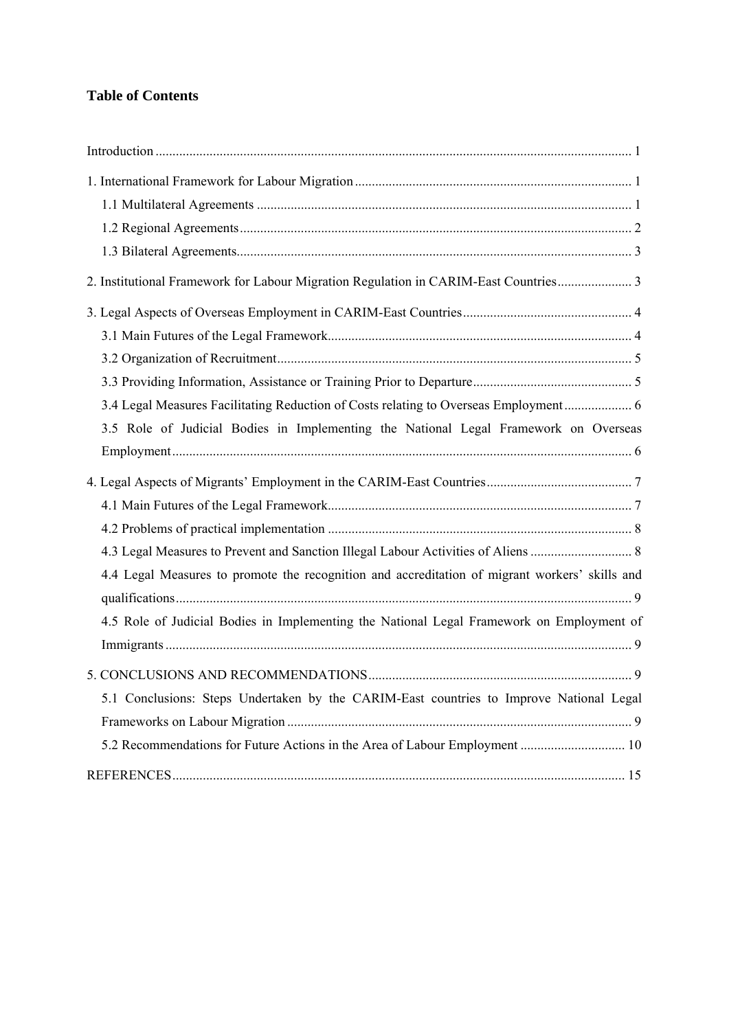# **Table of Contents**

| 2. Institutional Framework for Labour Migration Regulation in CARIM-East Countries 3           |  |
|------------------------------------------------------------------------------------------------|--|
|                                                                                                |  |
|                                                                                                |  |
|                                                                                                |  |
|                                                                                                |  |
| 3.4 Legal Measures Facilitating Reduction of Costs relating to Overseas Employment 6           |  |
| 3.5 Role of Judicial Bodies in Implementing the National Legal Framework on Overseas           |  |
|                                                                                                |  |
|                                                                                                |  |
|                                                                                                |  |
|                                                                                                |  |
|                                                                                                |  |
| 4.4 Legal Measures to promote the recognition and accreditation of migrant workers' skills and |  |
|                                                                                                |  |
| 4.5 Role of Judicial Bodies in Implementing the National Legal Framework on Employment of      |  |
|                                                                                                |  |
|                                                                                                |  |
| 5.1 Conclusions: Steps Undertaken by the CARIM-East countries to Improve National Legal        |  |
|                                                                                                |  |
|                                                                                                |  |
|                                                                                                |  |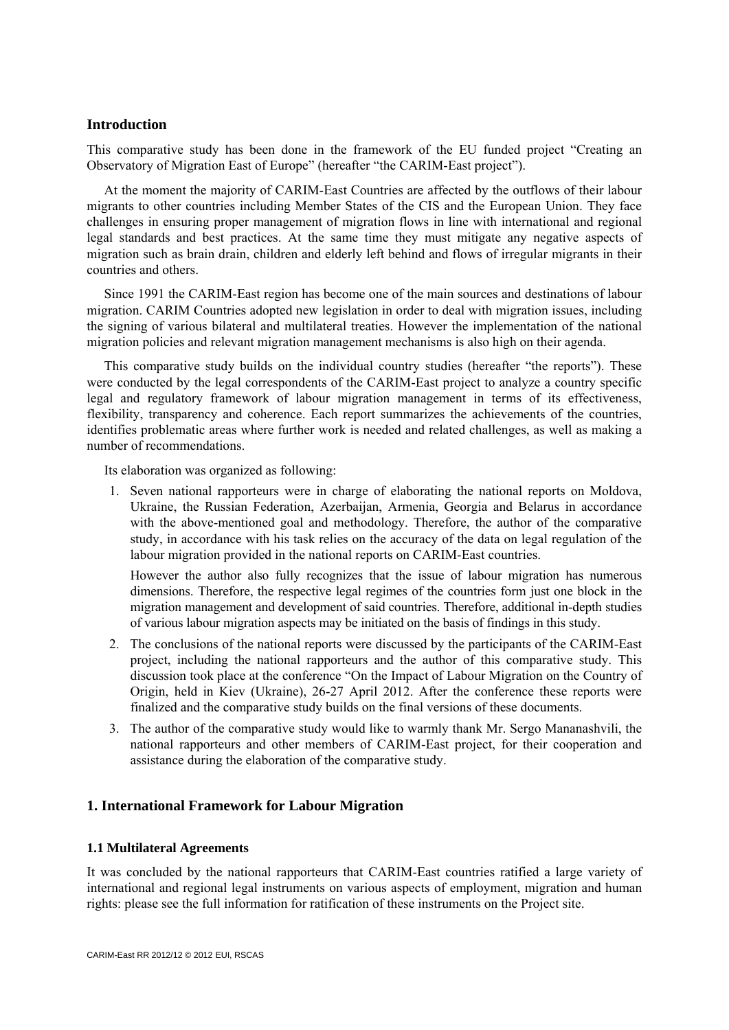## <span id="page-5-0"></span>**Introduction**

This comparative study has been done in the framework of the EU funded project "Creating an Observatory of Migration East of Europe" (hereafter "the CARIM-East project").

At the moment the majority of CARIM-East Countries are affected by the outflows of their labour migrants to other countries including Member States of the CIS and the European Union. They face challenges in ensuring proper management of migration flows in line with international and regional legal standards and best practices. At the same time they must mitigate any negative aspects of migration such as brain drain, children and elderly left behind and flows of irregular migrants in their countries and others.

Since 1991 the CARIM-East region has become one of the main sources and destinations of labour migration. CARIM Countries adopted new legislation in order to deal with migration issues, including the signing of various bilateral and multilateral treaties. However the implementation of the national migration policies and relevant migration management mechanisms is also high on their agenda.

This comparative study builds on the individual country studies (hereafter "the reports"). These were conducted by the legal correspondents of the CARIM-East project to analyze a country specific legal and regulatory framework of labour migration management in terms of its effectiveness, flexibility, transparency and coherence. Each report summarizes the achievements of the countries, identifies problematic areas where further work is needed and related challenges, as well as making a number of recommendations.

Its elaboration was organized as following:

1. Seven national rapporteurs were in charge of elaborating the national reports on Moldova, Ukraine, the Russian Federation, Azerbaijan, Armenia, Georgia and Belarus in accordance with the above-mentioned goal and methodology. Therefore, the author of the comparative study, in accordance with his task relies on the accuracy of the data on legal regulation of the labour migration provided in the national reports on CARIM-East countries.

However the author also fully recognizes that the issue of labour migration has numerous dimensions. Therefore, the respective legal regimes of the countries form just one block in the migration management and development of said countries. Therefore, additional in-depth studies of various labour migration aspects may be initiated on the basis of findings in this study.

- 2. The conclusions of the national reports were discussed by the participants of the CARIM-East project, including the national rapporteurs and the author of this comparative study. This discussion took place at the conference "On the Impact of Labour Migration on the Country of Origin, held in Kiev (Ukraine), 26-27 April 2012. After the conference these reports were finalized and the comparative study builds on the final versions of these documents.
- 3. The author of the comparative study would like to warmly thank Mr. Sergo Mananashvili, the national rapporteurs and other members of CARIM-East project, for their cooperation and assistance during the elaboration of the comparative study.

# **1. International Framework for Labour Migration**

#### **1.1 Multilateral Agreements**

It was concluded by the national rapporteurs that CARIM-East countries ratified a large variety of international and regional legal instruments on various aspects of employment, migration and human rights: please see the full information for ratification of these instruments on the Project site.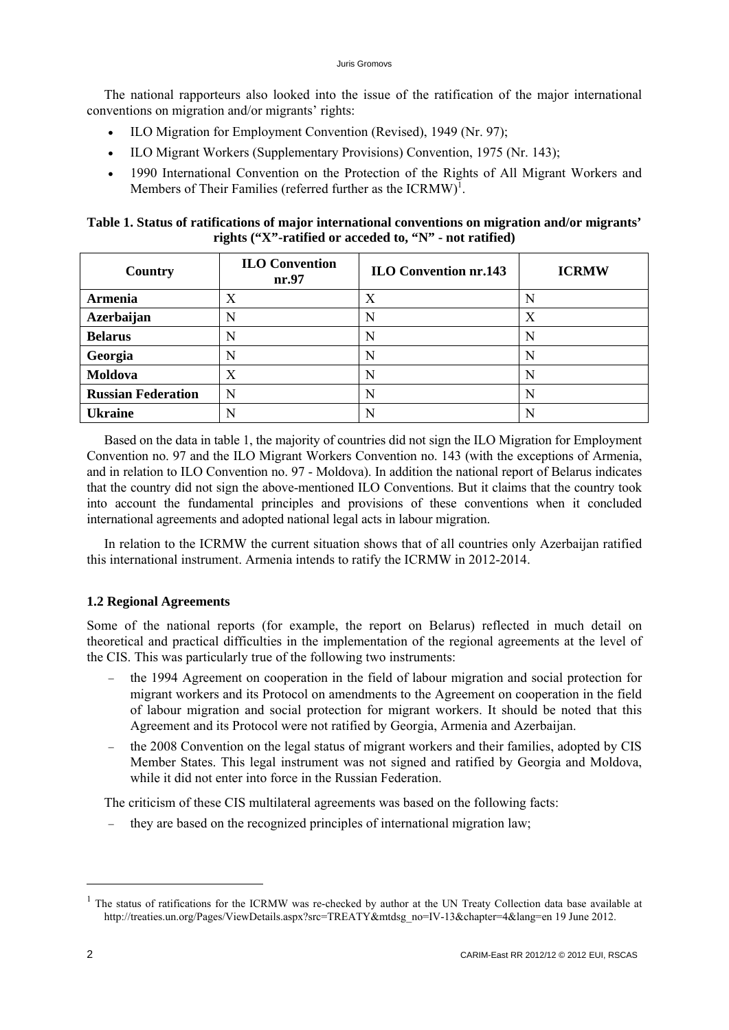<span id="page-6-0"></span>The national rapporteurs also looked into the issue of the ratification of the major international conventions on migration and/or migrants' rights:

- ILO Migration for Employment Convention (Revised), 1949 (Nr. 97);
- ILO Migrant Workers (Supplementary Provisions) Convention, 1975 (Nr. 143);
- 1990 International Convention on the Protection of the Rights of All Migrant Workers and Members of Their Families (referred further as the  $ICRMW$ <sup>1</sup>.

# **Table 1. Status of ratifications of major international conventions on migration and/or migrants' rights ("X"-ratified or acceded to, "N" - not ratified)**

| Country                   | <b>ILO Convention</b><br>nr.97 | <b>ILO Convention nr.143</b> | <b>ICRMW</b> |
|---------------------------|--------------------------------|------------------------------|--------------|
| <b>Armenia</b>            | Χ                              | X                            | N            |
| Azerbaijan                |                                | N                            | X            |
| <b>Belarus</b>            |                                | N                            | N            |
| Georgia                   |                                | N                            |              |
| Moldova                   |                                | N                            | N            |
| <b>Russian Federation</b> | N                              | N                            | N            |
| <b>Ukraine</b>            |                                | N                            |              |

Based on the data in table 1, the majority of countries did not sign the ILO Migration for Employment Convention no. 97 and the ILO Migrant Workers Convention no. 143 (with the exceptions of Armenia, and in relation to ILO Convention no. 97 - Moldova). In addition the national report of Belarus indicates that the country did not sign the above-mentioned ILO Conventions. But it claims that the country took into account the fundamental principles and provisions of these conventions when it concluded international agreements and adopted national legal acts in labour migration.

In relation to the ICRMW the current situation shows that of all countries only Azerbaijan ratified this international instrument. Armenia intends to ratify the ICRMW in 2012-2014.

# **1.2 Regional Agreements**

Some of the national reports (for example, the report on Belarus) reflected in much detail on theoretical and practical difficulties in the implementation of the regional agreements at the level of the CIS. This was particularly true of the following two instruments:

- the 1994 Agreement on cooperation in the field of labour migration and social protection for migrant workers and its Protocol on amendments to the Agreement on cooperation in the field of labour migration and social protection for migrant workers. It should be noted that this Agreement and its Protocol were not ratified by Georgia, Armenia and Azerbaijan.
- the 2008 Convention on the legal status of migrant workers and their families, adopted by CIS Member States. This legal instrument was not signed and ratified by Georgia and Moldova, while it did not enter into force in the Russian Federation.

The criticism of these CIS multilateral agreements was based on the following facts:

they are based on the recognized principles of international migration law;

1

 $<sup>1</sup>$  The status of ratifications for the ICRMW was re-checked by author at the UN Treaty Collection data base available at</sup> http://treaties.un.org/Pages/ViewDetails.aspx?src=TREATY&mtdsg\_no=IV-13&chapter=4&lang=en 19 June 2012.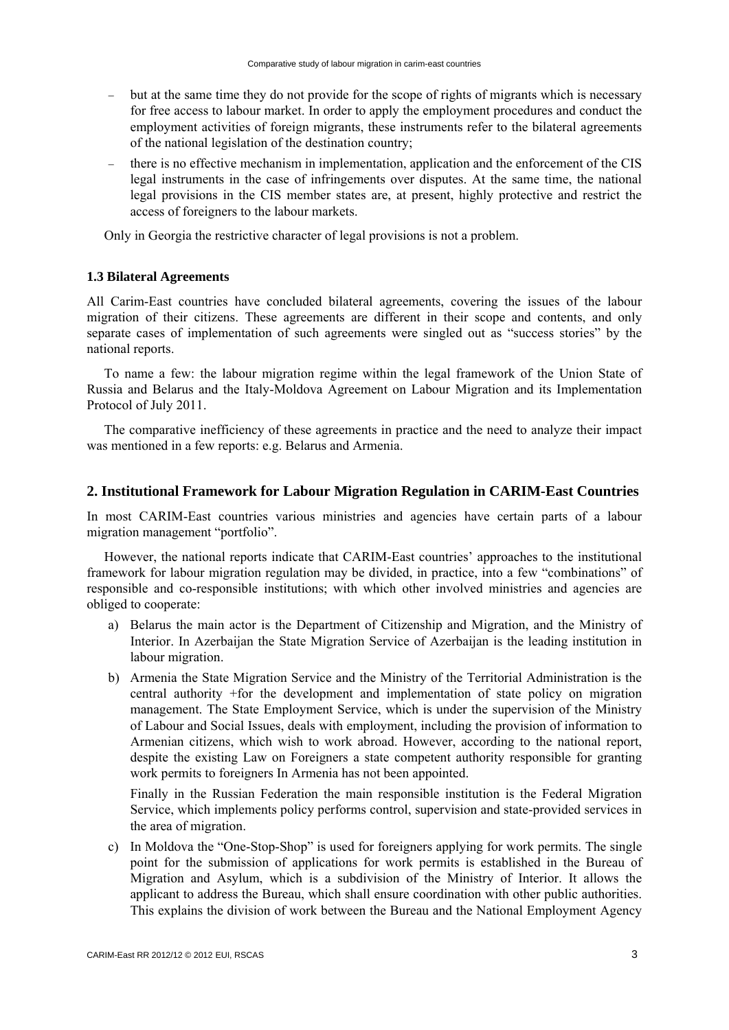- <span id="page-7-0"></span> but at the same time they do not provide for the scope of rights of migrants which is necessary for free access to labour market. In order to apply the employment procedures and conduct the employment activities of foreign migrants, these instruments refer to the bilateral agreements of the national legislation of the destination country;
- there is no effective mechanism in implementation, application and the enforcement of the CIS legal instruments in the case of infringements over disputes. At the same time, the national legal provisions in the CIS member states are, at present, highly protective and restrict the access of foreigners to the labour markets.

Only in Georgia the restrictive character of legal provisions is not a problem.

#### **1.3 Bilateral Agreements**

All Carim-East countries have concluded bilateral agreements, covering the issues of the labour migration of their citizens. These agreements are different in their scope and contents, and only separate cases of implementation of such agreements were singled out as "success stories" by the national reports.

To name a few: the labour migration regime within the legal framework of the Union State of Russia and Belarus and the Italy-Moldova Agreement on Labour Migration and its Implementation Protocol of July 2011.

The comparative inefficiency of these agreements in practice and the need to analyze their impact was mentioned in a few reports: e.g. Belarus and Armenia.

#### **2. Institutional Framework for Labour Migration Regulation in CARIM-East Countries**

In most CARIM-East countries various ministries and agencies have certain parts of a labour migration management "portfolio".

However, the national reports indicate that CARIM-East countries' approaches to the institutional framework for labour migration regulation may be divided, in practice, into a few "combinations" of responsible and co-responsible institutions; with which other involved ministries and agencies are obliged to cooperate:

- a) Belarus the main actor is the Department of Citizenship and Migration, and the Ministry of Interior. In Azerbaijan the State Migration Service of Azerbaijan is the leading institution in labour migration.
- b) Armenia the State Migration Service and the Ministry of the Territorial Administration is the central authority +for the development and implementation of state policy on migration management. The State Employment Service, which is under the supervision of the Ministry of Labour and Social Issues, deals with employment, including the provision of information to Armenian citizens, which wish to work abroad. However, according to the national report, despite the existing Law on Foreigners a state competent authority responsible for granting work permits to foreigners In Armenia has not been appointed.

Finally in the Russian Federation the main responsible institution is the Federal Migration Service, which implements policy performs control, supervision and state-provided services in the area of migration.

c) In Moldova the "One-Stop-Shop" is used for foreigners applying for work permits. The single point for the submission of applications for work permits is established in the Bureau of Migration and Asylum, which is a subdivision of the Ministry of Interior. It allows the applicant to address the Bureau, which shall ensure coordination with other public authorities. This explains the division of work between the Bureau and the National Employment Agency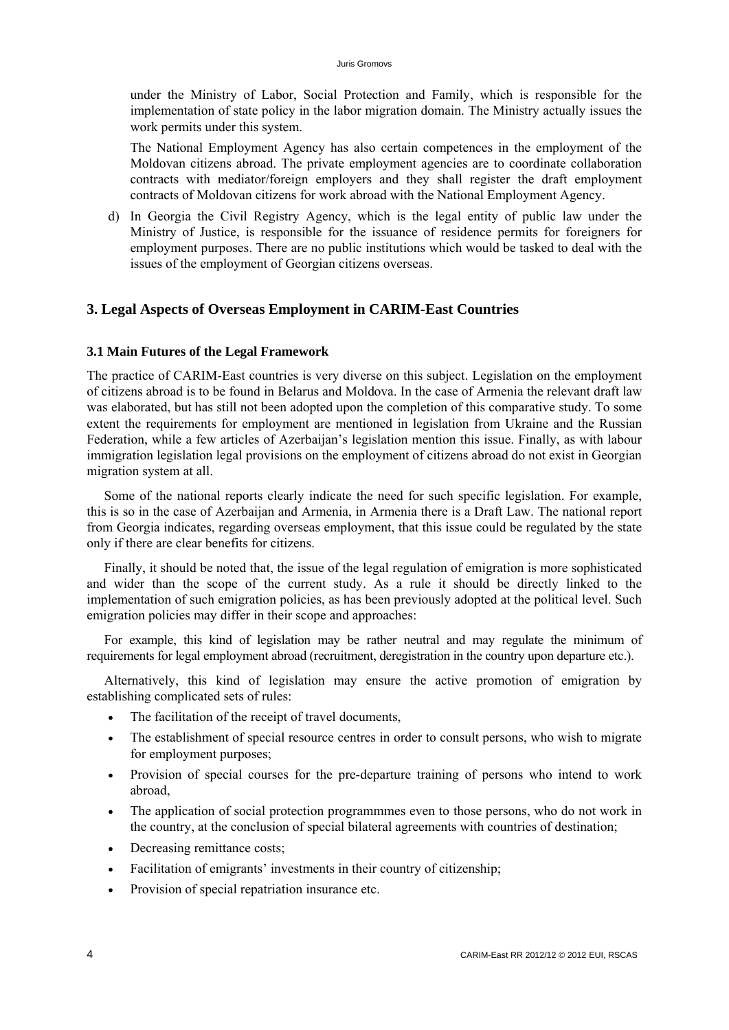<span id="page-8-0"></span>under the Ministry of Labor, Social Protection and Family, which is responsible for the implementation of state policy in the labor migration domain. The Ministry actually issues the work permits under this system.

The National Employment Agency has also certain competences in the employment of the Moldovan citizens abroad. The private employment agencies are to coordinate collaboration contracts with mediator/foreign employers and they shall register the draft employment contracts of Moldovan citizens for work abroad with the National Employment Agency.

d) In Georgia the Civil Registry Agency, which is the legal entity of public law under the Ministry of Justice, is responsible for the issuance of residence permits for foreigners for employment purposes. There are no public institutions which would be tasked to deal with the issues of the employment of Georgian citizens overseas.

# **3. Legal Aspects of Overseas Employment in CARIM-East Countries**

#### **3.1 Main Futures of the Legal Framework**

The practice of CARIM-East countries is very diverse on this subject. Legislation on the employment of citizens abroad is to be found in Belarus and Moldova. In the case of Armenia the relevant draft law was elaborated, but has still not been adopted upon the completion of this comparative study. To some extent the requirements for employment are mentioned in legislation from Ukraine and the Russian Federation, while a few articles of Azerbaijan's legislation mention this issue. Finally, as with labour immigration legislation legal provisions on the employment of citizens abroad do not exist in Georgian migration system at all.

Some of the national reports clearly indicate the need for such specific legislation. For example, this is so in the case of Azerbaijan and Armenia, in Armenia there is a Draft Law. The national report from Georgia indicates, regarding overseas employment, that this issue could be regulated by the state only if there are clear benefits for citizens.

Finally, it should be noted that, the issue of the legal regulation of emigration is more sophisticated and wider than the scope of the current study. As a rule it should be directly linked to the implementation of such emigration policies, as has been previously adopted at the political level. Such emigration policies may differ in their scope and approaches:

For example, this kind of legislation may be rather neutral and may regulate the minimum of requirements for legal employment abroad (recruitment, deregistration in the country upon departure etc.).

Alternatively, this kind of legislation may ensure the active promotion of emigration by establishing complicated sets of rules:

- The facilitation of the receipt of travel documents,
- The establishment of special resource centres in order to consult persons, who wish to migrate for employment purposes;
- Provision of special courses for the pre-departure training of persons who intend to work abroad,
- The application of social protection programmmes even to those persons, who do not work in the country, at the conclusion of special bilateral agreements with countries of destination;
- Decreasing remittance costs;
- Facilitation of emigrants' investments in their country of citizenship;
- Provision of special repatriation insurance etc.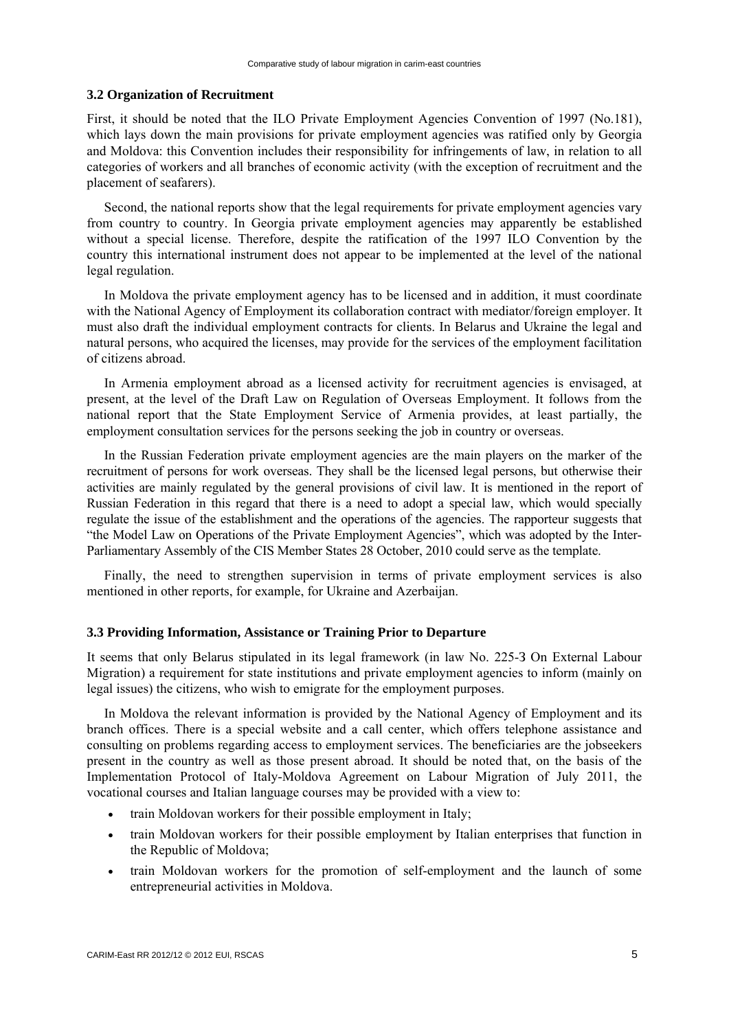#### <span id="page-9-0"></span>**3.2 Organization of Recruitment**

First, it should be noted that the ILO Private Employment Agencies Convention of 1997 (No.181), which lays down the main provisions for private employment agencies was ratified only by Georgia and Moldova: this Convention includes their responsibility for infringements of law, in relation to all categories of workers and all branches of economic activity (with the exception of recruitment and the placement of seafarers).

Second, the national reports show that the legal requirements for private employment agencies vary from country to country. In Georgia private employment agencies may apparently be established without a special license. Therefore, despite the ratification of the 1997 ILO Convention by the country this international instrument does not appear to be implemented at the level of the national legal regulation.

In Moldova the private employment agency has to be licensed and in addition, it must coordinate with the National Agency of Employment its collaboration contract with mediator/foreign employer. It must also draft the individual employment contracts for clients. In Belarus and Ukraine the legal and natural persons, who acquired the licenses, may provide for the services of the employment facilitation of citizens abroad.

In Armenia employment abroad as a licensed activity for recruitment agencies is envisaged, at present, at the level of the Draft Law on Regulation of Overseas Employment. It follows from the national report that the State Employment Service of Armenia provides, at least partially, the employment consultation services for the persons seeking the job in country or overseas.

In the Russian Federation private employment agencies are the main players on the marker of the recruitment of persons for work overseas. They shall be the licensed legal persons, but otherwise their activities are mainly regulated by the general provisions of civil law. It is mentioned in the report of Russian Federation in this regard that there is a need to adopt a special law, which would specially regulate the issue of the establishment and the operations of the agencies. The rapporteur suggests that "the Model Law on Operations of the Private Employment Agencies", which was adopted by the Inter-Parliamentary Assembly of the CIS Member States 28 October, 2010 could serve as the template.

Finally, the need to strengthen supervision in terms of private employment services is also mentioned in other reports, for example, for Ukraine and Azerbaijan.

#### **3.3 Providing Information, Assistance or Training Prior to Departure**

It seems that only Belarus stipulated in its legal framework (in law No. 225-З On External Labour Migration) a requirement for state institutions and private employment agencies to inform (mainly on legal issues) the citizens, who wish to emigrate for the employment purposes.

In Moldova the relevant information is provided by the National Agency of Employment and its branch offices. There is a special website and a call center, which offers telephone assistance and consulting on problems regarding access to employment services. The beneficiaries are the jobseekers present in the country as well as those present abroad. It should be noted that, on the basis of the Implementation Protocol of Italy-Moldova Agreement on Labour Migration of July 2011, the vocational courses and Italian language courses may be provided with a view to:

- train Moldovan workers for their possible employment in Italy;
- train Moldovan workers for their possible employment by Italian enterprises that function in the Republic of Moldova;
- train Moldovan workers for the promotion of self-employment and the launch of some entrepreneurial activities in Moldova.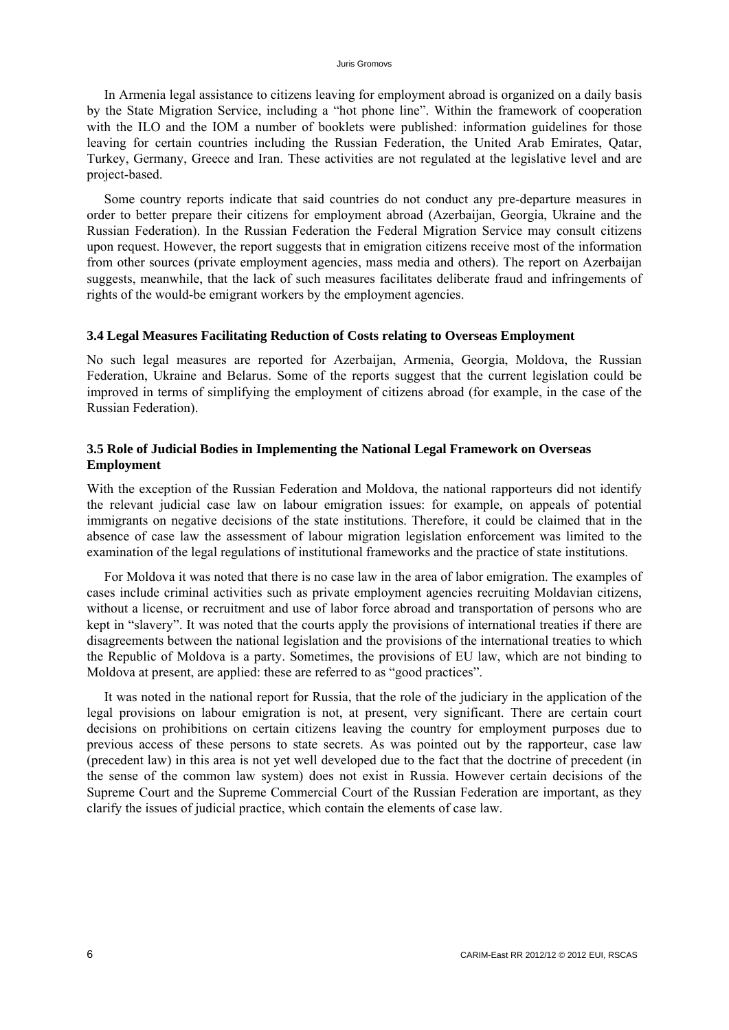<span id="page-10-0"></span>In Armenia legal assistance to citizens leaving for employment abroad is organized on a daily basis by the State Migration Service, including a "hot phone line". Within the framework of cooperation with the ILO and the IOM a number of booklets were published: information guidelines for those leaving for certain countries including the Russian Federation, the United Arab Emirates, Qatar, Turkey, Germany, Greece and Iran. These activities are not regulated at the legislative level and are project-based.

Some country reports indicate that said countries do not conduct any pre-departure measures in order to better prepare their citizens for employment abroad (Azerbaijan, Georgia, Ukraine and the Russian Federation). In the Russian Federation the Federal Migration Service may consult citizens upon request. However, the report suggests that in emigration citizens receive most of the information from other sources (private employment agencies, mass media and others). The report on Azerbaijan suggests, meanwhile, that the lack of such measures facilitates deliberate fraud and infringements of rights of the would-be emigrant workers by the employment agencies.

#### **3.4 Legal Measures Facilitating Reduction of Costs relating to Overseas Employment**

No such legal measures are reported for Azerbaijan, Armenia, Georgia, Moldova, the Russian Federation, Ukraine and Belarus. Some of the reports suggest that the current legislation could be improved in terms of simplifying the employment of citizens abroad (for example, in the case of the Russian Federation).

# **3.5 Role of Judicial Bodies in Implementing the National Legal Framework on Overseas Employment**

With the exception of the Russian Federation and Moldova, the national rapporteurs did not identify the relevant judicial case law on labour emigration issues: for example, on appeals of potential immigrants on negative decisions of the state institutions. Therefore, it could be claimed that in the absence of case law the assessment of labour migration legislation enforcement was limited to the examination of the legal regulations of institutional frameworks and the practice of state institutions.

For Moldova it was noted that there is no case law in the area of labor emigration. The examples of cases include criminal activities such as private employment agencies recruiting Moldavian citizens, without a license, or recruitment and use of labor force abroad and transportation of persons who are kept in "slavery". It was noted that the courts apply the provisions of international treaties if there are disagreements between the national legislation and the provisions of the international treaties to which the Republic of Moldova is a party. Sometimes, the provisions of EU law, which are not binding to Moldova at present, are applied: these are referred to as "good practices".

It was noted in the national report for Russia, that the role of the judiciary in the application of the legal provisions on labour emigration is not, at present, very significant. There are certain court decisions on prohibitions on certain citizens leaving the country for employment purposes due to previous access of these persons to state secrets. As was pointed out by the rapporteur, case law (precedent law) in this area is not yet well developed due to the fact that the doctrine of precedent (in the sense of the common law system) does not exist in Russia. However certain decisions of the Supreme Court and the Supreme Commercial Court of the Russian Federation are important, as they clarify the issues of judicial practice, which contain the elements of case law.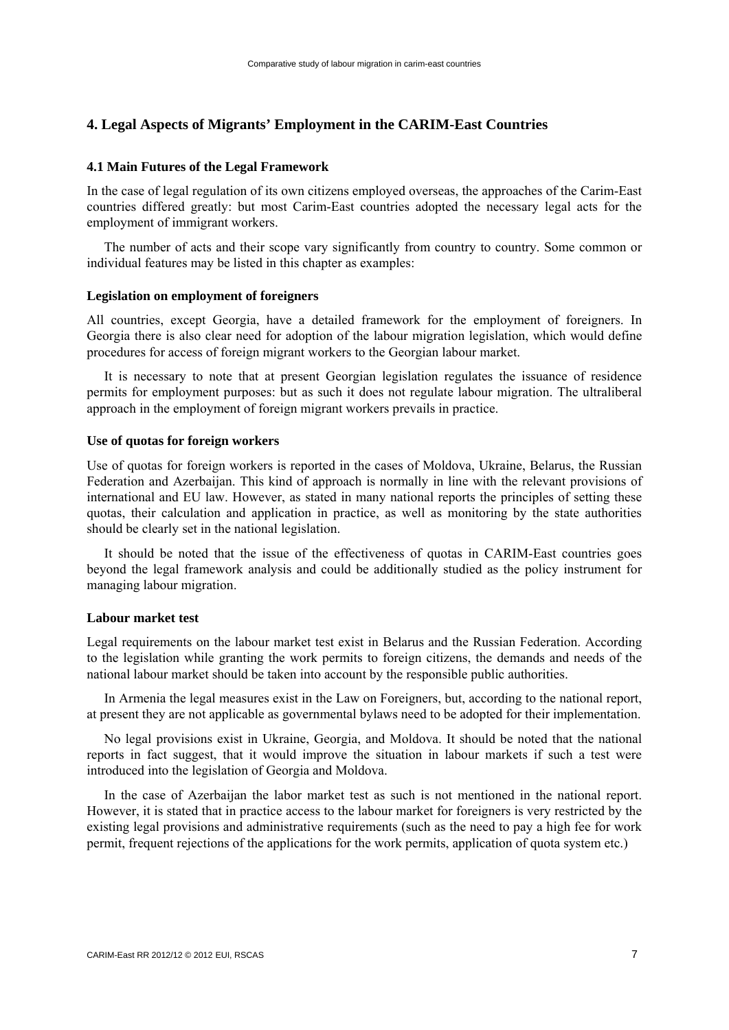# <span id="page-11-0"></span>**4. Legal Aspects of Migrants' Employment in the CARIM-East Countries**

#### **4.1 Main Futures of the Legal Framework**

In the case of legal regulation of its own citizens employed overseas, the approaches of the Carim-East countries differed greatly: but most Carim-East countries adopted the necessary legal acts for the employment of immigrant workers.

The number of acts and their scope vary significantly from country to country. Some common or individual features may be listed in this chapter as examples:

#### **Legislation on employment of foreigners**

All countries, except Georgia, have a detailed framework for the employment of foreigners. In Georgia there is also clear need for adoption of the labour migration legislation, which would define procedures for access of foreign migrant workers to the Georgian labour market.

It is necessary to note that at present Georgian legislation regulates the issuance of residence permits for employment purposes: but as such it does not regulate labour migration. The ultraliberal approach in the employment of foreign migrant workers prevails in practice.

#### **Use of quotas for foreign workers**

Use of quotas for foreign workers is reported in the cases of Moldova, Ukraine, Belarus, the Russian Federation and Azerbaijan. This kind of approach is normally in line with the relevant provisions of international and EU law. However, as stated in many national reports the principles of setting these quotas, their calculation and application in practice, as well as monitoring by the state authorities should be clearly set in the national legislation.

It should be noted that the issue of the effectiveness of quotas in CARIM-East countries goes beyond the legal framework analysis and could be additionally studied as the policy instrument for managing labour migration.

#### **Labour market test**

Legal requirements on the labour market test exist in Belarus and the Russian Federation. According to the legislation while granting the work permits to foreign citizens, the demands and needs of the national labour market should be taken into account by the responsible public authorities.

In Armenia the legal measures exist in the Law on Foreigners, but, according to the national report, at present they are not applicable as governmental bylaws need to be adopted for their implementation.

No legal provisions exist in Ukraine, Georgia, and Moldova. It should be noted that the national reports in fact suggest, that it would improve the situation in labour markets if such a test were introduced into the legislation of Georgia and Moldova.

In the case of Azerbaijan the labor market test as such is not mentioned in the national report. However, it is stated that in practice access to the labour market for foreigners is very restricted by the existing legal provisions and administrative requirements (such as the need to pay a high fee for work permit, frequent rejections of the applications for the work permits, application of quota system etc.)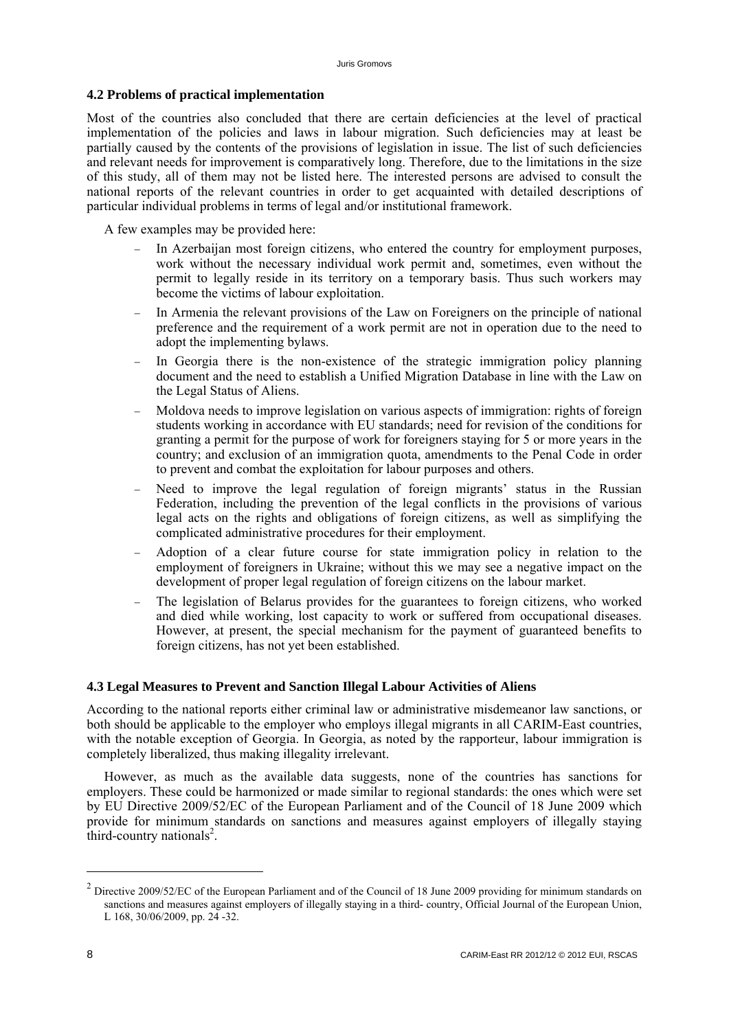# <span id="page-12-0"></span>**4.2 Problems of practical implementation**

Most of the countries also concluded that there are certain deficiencies at the level of practical implementation of the policies and laws in labour migration. Such deficiencies may at least be partially caused by the contents of the provisions of legislation in issue. The list of such deficiencies and relevant needs for improvement is comparatively long. Therefore, due to the limitations in the size of this study, all of them may not be listed here. The interested persons are advised to consult the national reports of the relevant countries in order to get acquainted with detailed descriptions of particular individual problems in terms of legal and/or institutional framework.

A few examples may be provided here:

- In Azerbaijan most foreign citizens, who entered the country for employment purposes, work without the necessary individual work permit and, sometimes, even without the permit to legally reside in its territory on a temporary basis. Thus such workers may become the victims of labour exploitation.
- In Armenia the relevant provisions of the Law on Foreigners on the principle of national preference and the requirement of a work permit are not in operation due to the need to adopt the implementing bylaws.
- In Georgia there is the non-existence of the strategic immigration policy planning document and the need to establish a Unified Migration Database in line with the Law on the Legal Status of Aliens.
- Moldova needs to improve legislation on various aspects of immigration: rights of foreign students working in accordance with EU standards; need for revision of the conditions for granting a permit for the purpose of work for foreigners staying for 5 or more years in the country; and exclusion of an immigration quota, amendments to the Penal Code in order to prevent and combat the exploitation for labour purposes and others.
- Need to improve the legal regulation of foreign migrants' status in the Russian Federation, including the prevention of the legal conflicts in the provisions of various legal acts on the rights and obligations of foreign citizens, as well as simplifying the complicated administrative procedures for their employment.
- Adoption of a clear future course for state immigration policy in relation to the employment of foreigners in Ukraine; without this we may see a negative impact on the development of proper legal regulation of foreign citizens on the labour market.
- The legislation of Belarus provides for the guarantees to foreign citizens, who worked and died while working, lost capacity to work or suffered from occupational diseases. However, at present, the special mechanism for the payment of guaranteed benefits to foreign citizens, has not yet been established.

## **4.3 Legal Measures to Prevent and Sanction Illegal Labour Activities of Aliens**

According to the national reports either criminal law or administrative misdemeanor law sanctions, or both should be applicable to the employer who employs illegal migrants in all CARIM-East countries, with the notable exception of Georgia. In Georgia, as noted by the rapporteur, labour immigration is completely liberalized, thus making illegality irrelevant.

However, as much as the available data suggests, none of the countries has sanctions for employers. These could be harmonized or made similar to regional standards: the ones which were set by EU Directive 2009/52/EC of the European Parliament and of the Council of 18 June 2009 which provide for minimum standards on sanctions and measures against employers of illegally staying third-country nationals<sup>2</sup>.

1

 $2$  Directive 2009/52/EC of the European Parliament and of the Council of 18 June 2009 providing for minimum standards on sanctions and measures against employers of illegally staying in a third- country, Official Journal of the European Union, L 168, 30/06/2009, pp. 24 -32.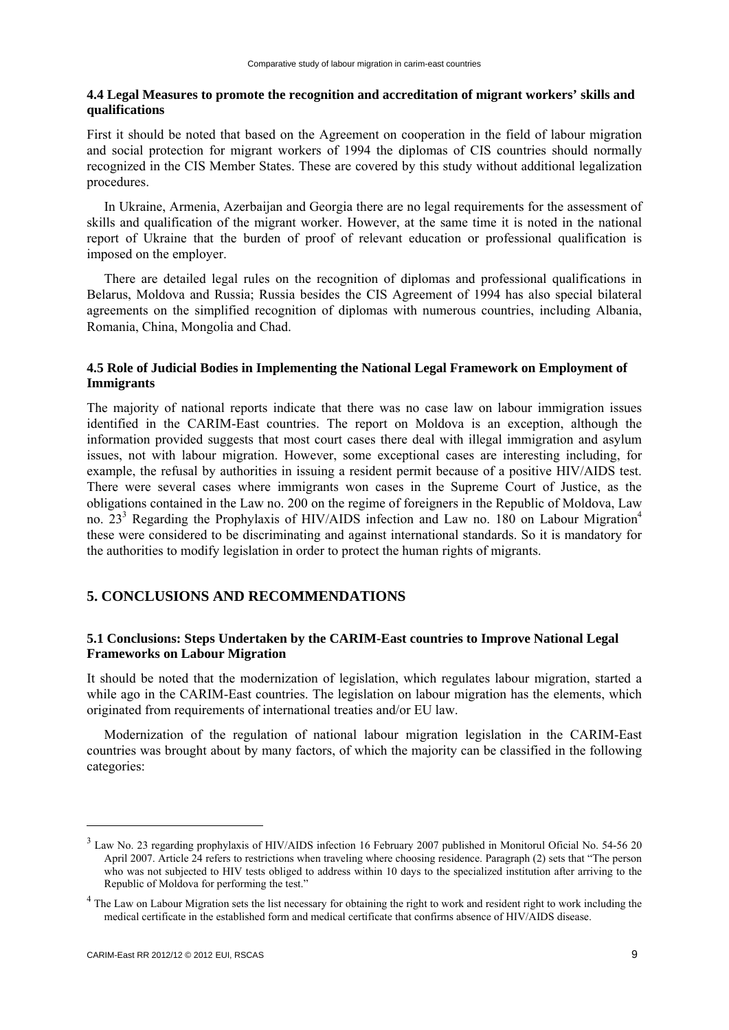### <span id="page-13-0"></span>**4.4 Legal Measures to promote the recognition and accreditation of migrant workers' skills and qualifications**

First it should be noted that based on the Agreement on cooperation in the field of labour migration and social protection for migrant workers of 1994 the diplomas of CIS countries should normally recognized in the CIS Member States. These are covered by this study without additional legalization procedures.

In Ukraine, Armenia, Azerbaijan and Georgia there are no legal requirements for the assessment of skills and qualification of the migrant worker. However, at the same time it is noted in the national report of Ukraine that the burden of proof of relevant education or professional qualification is imposed on the employer.

There are detailed legal rules on the recognition of diplomas and professional qualifications in Belarus, Moldova and Russia; Russia besides the CIS Agreement of 1994 has also special bilateral agreements on the simplified recognition of diplomas with numerous countries, including Albania, Romania, China, Mongolia and Chad.

# **4.5 Role of Judicial Bodies in Implementing the National Legal Framework on Employment of Immigrants**

The majority of national reports indicate that there was no case law on labour immigration issues identified in the CARIM-East countries. The report on Moldova is an exception, although the information provided suggests that most court cases there deal with illegal immigration and asylum issues, not with labour migration. However, some exceptional cases are interesting including, for example, the refusal by authorities in issuing a resident permit because of a positive HIV/AIDS test. There were several cases where immigrants won cases in the Supreme Court of Justice, as the obligations contained in the Law no. 200 on the regime of foreigners in the Republic of Moldova, Law no. 23<sup>3</sup> Regarding the Prophylaxis of HIV/AIDS infection and Law no. 180 on Labour Migration<sup>4</sup> these were considered to be discriminating and against international standards. So it is mandatory for the authorities to modify legislation in order to protect the human rights of migrants.

# **5. CONCLUSIONS AND RECOMMENDATIONS**

# **5.1 Conclusions: Steps Undertaken by the CARIM-East countries to Improve National Legal Frameworks on Labour Migration**

It should be noted that the modernization of legislation, which regulates labour migration, started a while ago in the CARIM-East countries. The legislation on labour migration has the elements, which originated from requirements of international treaties and/or EU law.

Modernization of the regulation of national labour migration legislation in the CARIM-East countries was brought about by many factors, of which the majority can be classified in the following categories:

-

<sup>&</sup>lt;sup>3</sup> Law No. 23 regarding prophylaxis of HIV/AIDS infection 16 February 2007 published in Monitorul Oficial No. 54-56 20 April 2007. Article 24 refers to restrictions when traveling where choosing residence. Paragraph (2) sets that "The person who was not subjected to HIV tests obliged to address within 10 days to the specialized institution after arriving to the Republic of Moldova for performing the test."

<sup>&</sup>lt;sup>4</sup> The Law on Labour Migration sets the list necessary for obtaining the right to work and resident right to work including the medical certificate in the established form and medical certificate that confirms absence of HIV/AIDS disease.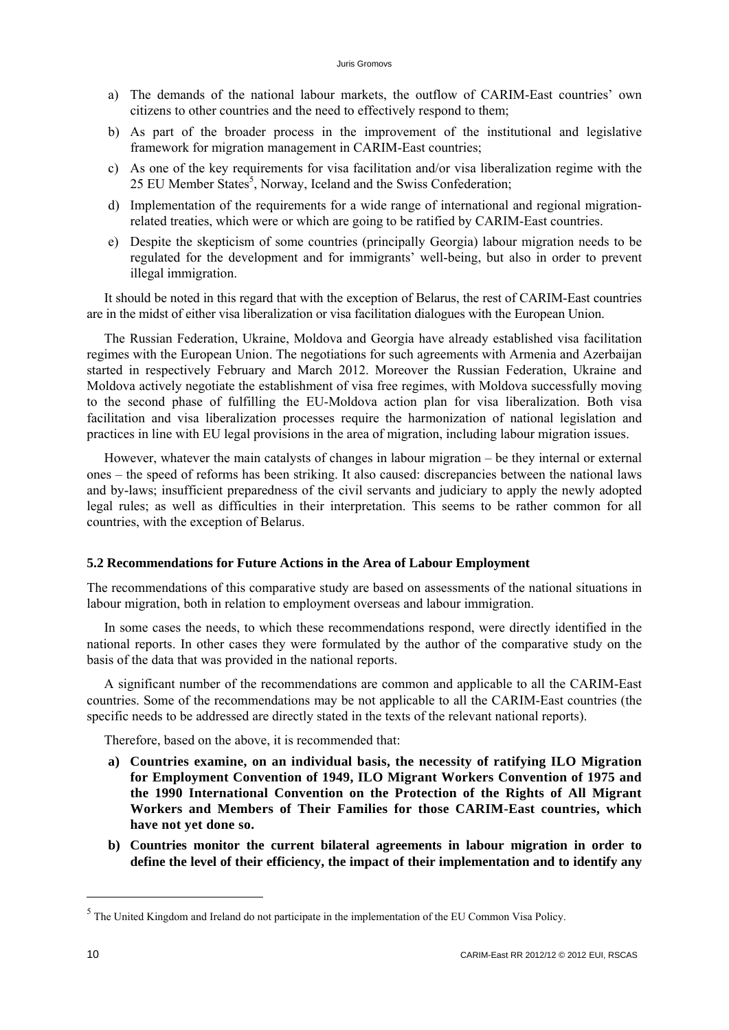- <span id="page-14-0"></span>a) The demands of the national labour markets, the outflow of CARIM-East countries' own citizens to other countries and the need to effectively respond to them;
- b) As part of the broader process in the improvement of the institutional and legislative framework for migration management in CARIM-East countries;
- c) As one of the key requirements for visa facilitation and/or visa liberalization regime with the 25 EU Member States<sup>5</sup>, Norway, Iceland and the Swiss Confederation;
- d) Implementation of the requirements for a wide range of international and regional migrationrelated treaties, which were or which are going to be ratified by CARIM-East countries.
- e) Despite the skepticism of some countries (principally Georgia) labour migration needs to be regulated for the development and for immigrants' well-being, but also in order to prevent illegal immigration.

It should be noted in this regard that with the exception of Belarus, the rest of CARIM-East countries are in the midst of either visa liberalization or visa facilitation dialogues with the European Union.

The Russian Federation, Ukraine, Moldova and Georgia have already established visa facilitation regimes with the European Union. The negotiations for such agreements with Armenia and Azerbaijan started in respectively February and March 2012. Moreover the Russian Federation, Ukraine and Moldova actively negotiate the establishment of visa free regimes, with Moldova successfully moving to the second phase of fulfilling the EU-Moldova action plan for visa liberalization. Both visa facilitation and visa liberalization processes require the harmonization of national legislation and practices in line with EU legal provisions in the area of migration, including labour migration issues.

However, whatever the main catalysts of changes in labour migration – be they internal or external ones – the speed of reforms has been striking. It also caused: discrepancies between the national laws and by-laws; insufficient preparedness of the civil servants and judiciary to apply the newly adopted legal rules; as well as difficulties in their interpretation. This seems to be rather common for all countries, with the exception of Belarus.

#### **5.2 Recommendations for Future Actions in the Area of Labour Employment**

The recommendations of this comparative study are based on assessments of the national situations in labour migration, both in relation to employment overseas and labour immigration.

In some cases the needs, to which these recommendations respond, were directly identified in the national reports. In other cases they were formulated by the author of the comparative study on the basis of the data that was provided in the national reports.

A significant number of the recommendations are common and applicable to all the CARIM-East countries. Some of the recommendations may be not applicable to all the CARIM-East countries (the specific needs to be addressed are directly stated in the texts of the relevant national reports).

Therefore, based on the above, it is recommended that:

- **a) Countries examine, on an individual basis, the necessity of ratifying ILO Migration for Employment Convention of 1949, ILO Migrant Workers Convention of 1975 and the 1990 International Convention on the Protection of the Rights of All Migrant Workers and Members of Their Families for those CARIM-East countries, which have not yet done so.**
- **b) Countries monitor the current bilateral agreements in labour migration in order to define the level of their efficiency, the impact of their implementation and to identify any**

-

<sup>&</sup>lt;sup>5</sup> The United Kingdom and Ireland do not participate in the implementation of the EU Common Visa Policy.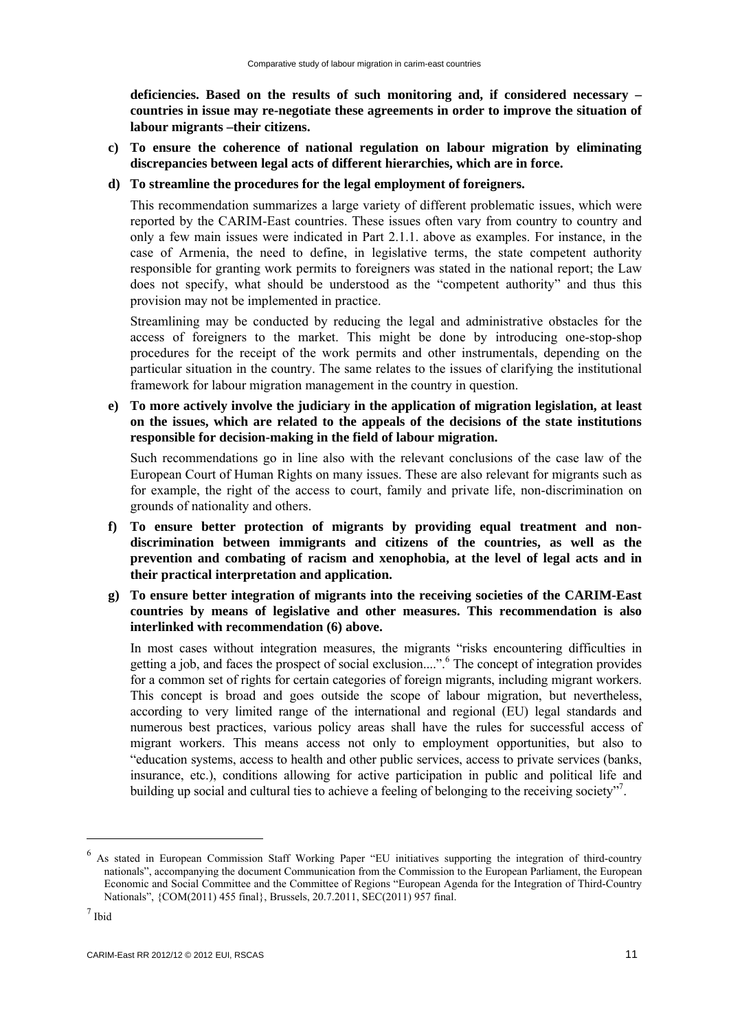**deficiencies. Based on the results of such monitoring and, if considered necessary – countries in issue may re-negotiate these agreements in order to improve the situation of labour migrants –their citizens.** 

**c) To ensure the coherence of national regulation on labour migration by eliminating discrepancies between legal acts of different hierarchies, which are in force.** 

### **d) To streamline the procedures for the legal employment of foreigners.**

This recommendation summarizes a large variety of different problematic issues, which were reported by the CARIM-East countries. These issues often vary from country to country and only a few main issues were indicated in Part 2.1.1. above as examples. For instance, in the case of Armenia, the need to define, in legislative terms, the state competent authority responsible for granting work permits to foreigners was stated in the national report; the Law does not specify, what should be understood as the "competent authority" and thus this provision may not be implemented in practice.

Streamlining may be conducted by reducing the legal and administrative obstacles for the access of foreigners to the market. This might be done by introducing one-stop-shop procedures for the receipt of the work permits and other instrumentals, depending on the particular situation in the country. The same relates to the issues of clarifying the institutional framework for labour migration management in the country in question.

**e) To more actively involve the judiciary in the application of migration legislation, at least on the issues, which are related to the appeals of the decisions of the state institutions responsible for decision-making in the field of labour migration.** 

Such recommendations go in line also with the relevant conclusions of the case law of the European Court of Human Rights on many issues. These are also relevant for migrants such as for example, the right of the access to court, family and private life, non-discrimination on grounds of nationality and others.

- **f) To ensure better protection of migrants by providing equal treatment and nondiscrimination between immigrants and citizens of the countries, as well as the prevention and combating of racism and xenophobia, at the level of legal acts and in their practical interpretation and application.**
- **g) To ensure better integration of migrants into the receiving societies of the CARIM-East countries by means of legislative and other measures. This recommendation is also interlinked with recommendation (6) above.**

In most cases without integration measures, the migrants "risks encountering difficulties in getting a job, and faces the prospect of social exclusion....".<sup>6</sup> The concept of integration provides for a common set of rights for certain categories of foreign migrants, including migrant workers. This concept is broad and goes outside the scope of labour migration, but nevertheless, according to very limited range of the international and regional (EU) legal standards and numerous best practices, various policy areas shall have the rules for successful access of migrant workers. This means access not only to employment opportunities, but also to "education systems, access to health and other public services, access to private services (banks, insurance, etc.), conditions allowing for active participation in public and political life and building up social and cultural ties to achieve a feeling of belonging to the receiving society".

1

<sup>&</sup>lt;sup>6</sup> As stated in European Commission Staff Working Paper "EU initiatives supporting the integration of third-country nationals", accompanying the document Communication from the Commission to the European Parliament, the European Economic and Social Committee and the Committee of Regions "European Agenda for the Integration of Third-Country Nationals", {COM(2011) 455 final}, Brussels, 20.7.2011, SEC(2011) 957 final.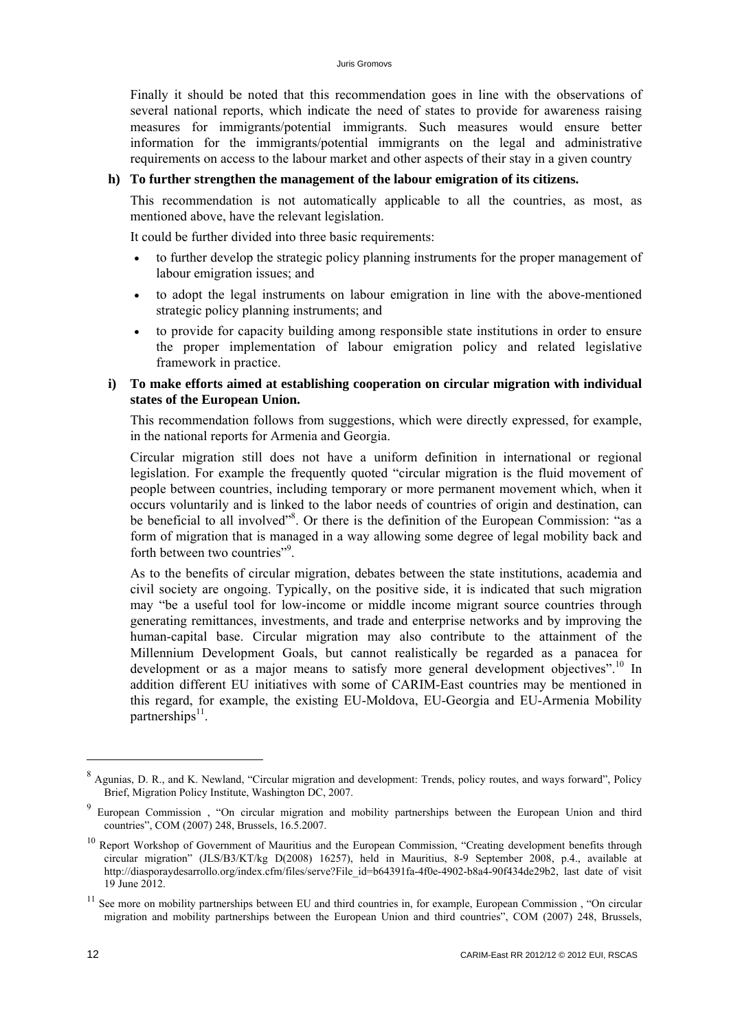Finally it should be noted that this recommendation goes in line with the observations of several national reports, which indicate the need of states to provide for awareness raising measures for immigrants/potential immigrants. Such measures would ensure better information for the immigrants/potential immigrants on the legal and administrative requirements on access to the labour market and other aspects of their stay in a given country

#### **h) To further strengthen the management of the labour emigration of its citizens.**

This recommendation is not automatically applicable to all the countries, as most, as mentioned above, have the relevant legislation.

It could be further divided into three basic requirements:

- to further develop the strategic policy planning instruments for the proper management of labour emigration issues; and
- to adopt the legal instruments on labour emigration in line with the above-mentioned strategic policy planning instruments; and
- to provide for capacity building among responsible state institutions in order to ensure the proper implementation of labour emigration policy and related legislative framework in practice.

# **i) To make efforts aimed at establishing cooperation on circular migration with individual states of the European Union.**

This recommendation follows from suggestions, which were directly expressed, for example, in the national reports for Armenia and Georgia.

Circular migration still does not have a uniform definition in international or regional legislation. For example the frequently quoted "circular migration is the fluid movement of people between countries, including temporary or more permanent movement which, when it occurs voluntarily and is linked to the labor needs of countries of origin and destination, can be beneficial to all involved"<sup>8</sup>. Or there is the definition of the European Commission: "as a form of migration that is managed in a way allowing some degree of legal mobility back and forth between two countries"<sup>9</sup>.

As to the benefits of circular migration, debates between the state institutions, academia and civil society are ongoing. Typically, on the positive side, it is indicated that such migration may "be a useful tool for low-income or middle income migrant source countries through generating remittances, investments, and trade and enterprise networks and by improving the human-capital base. Circular migration may also contribute to the attainment of the Millennium Development Goals, but cannot realistically be regarded as a panacea for development or as a major means to satisfy more general development objectives".<sup>10</sup> In addition different EU initiatives with some of CARIM-East countries may be mentioned in this regard, for example, the existing EU-Moldova, EU-Georgia and EU-Armenia Mobility partnerships $^{11}$ .

-

<sup>8</sup> Agunias, D. R., and K. Newland, "Circular migration and development: Trends, policy routes, and ways forward", Policy Brief, Migration Policy Institute, Washington DC, 2007.

<sup>9</sup> European Commission , "On circular migration and mobility partnerships between the European Union and third countries", COM (2007) 248, Brussels, 16.5.2007.

<sup>&</sup>lt;sup>10</sup> Report Workshop of Government of Mauritius and the European Commission, "Creating development benefits through circular migration" (JLS/B3/KT/kg D(2008) 16257), held in Mauritius, 8-9 September 2008, p.4., available at http://diasporaydesarrollo.org/index.cfm/files/serve?File\_id=b64391fa-4f0e-4902-b8a4-90f434de29b2, last date of visit 19 June 2012.

<sup>&</sup>lt;sup>11</sup> See more on mobility partnerships between EU and third countries in, for example, European Commission, "On circular migration and mobility partnerships between the European Union and third countries", COM (2007) 248, Brussels,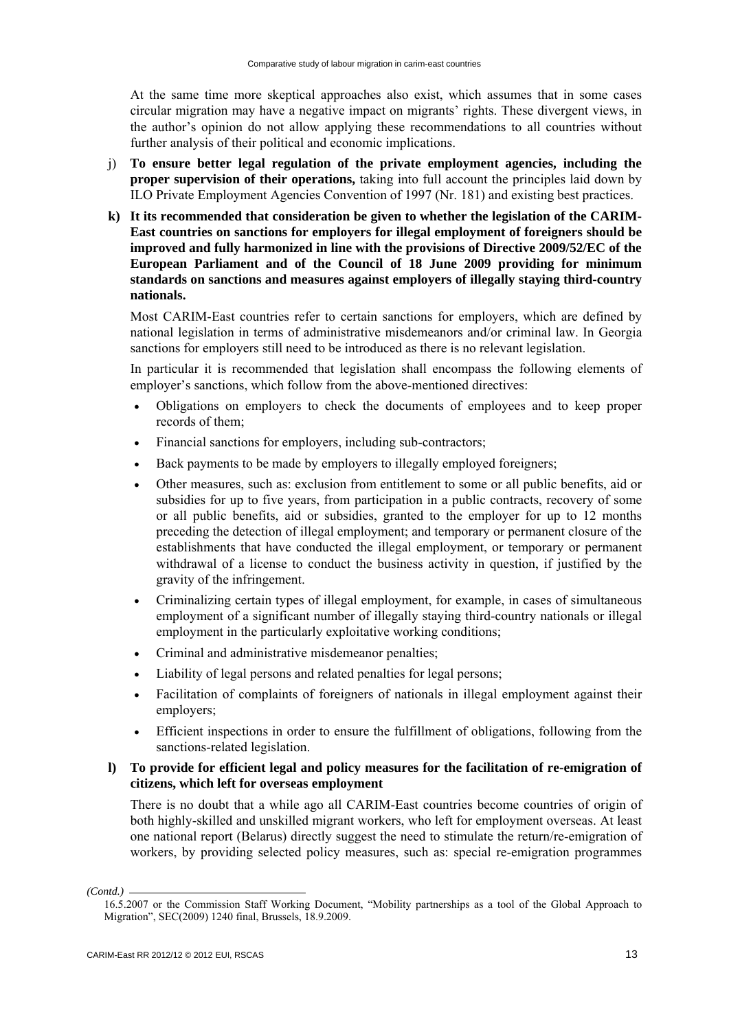At the same time more skeptical approaches also exist, which assumes that in some cases circular migration may have a negative impact on migrants' rights. These divergent views, in the author's opinion do not allow applying these recommendations to all countries without further analysis of their political and economic implications.

- j) **To ensure better legal regulation of the private employment agencies, including the proper supervision of their operations,** taking into full account the principles laid down by ILO Private Employment Agencies Convention of 1997 (Nr. 181) and existing best practices.
- **k) It its recommended that consideration be given to whether the legislation of the CARIM-East countries on sanctions for employers for illegal employment of foreigners should be improved and fully harmonized in line with the provisions of Directive 2009/52/EC of the European Parliament and of the Council of 18 June 2009 providing for minimum standards on sanctions and measures against employers of illegally staying third-country nationals.**

Most CARIM-East countries refer to certain sanctions for employers, which are defined by national legislation in terms of administrative misdemeanors and/or criminal law. In Georgia sanctions for employers still need to be introduced as there is no relevant legislation.

In particular it is recommended that legislation shall encompass the following elements of employer's sanctions, which follow from the above-mentioned directives:

- Obligations on employers to check the documents of employees and to keep proper records of them;
- Financial sanctions for employers, including sub-contractors;
- Back payments to be made by employers to illegally employed foreigners;
- Other measures, such as: exclusion from entitlement to some or all public benefits, aid or subsidies for up to five years, from participation in a public contracts, recovery of some or all public benefits, aid or subsidies, granted to the employer for up to 12 months preceding the detection of illegal employment; and temporary or permanent closure of the establishments that have conducted the illegal employment, or temporary or permanent withdrawal of a license to conduct the business activity in question, if justified by the gravity of the infringement.
- Criminalizing certain types of illegal employment, for example, in cases of simultaneous employment of a significant number of illegally staying third-country nationals or illegal employment in the particularly exploitative working conditions;
- Criminal and administrative misdemeanor penalties;
- Liability of legal persons and related penalties for legal persons;
- Facilitation of complaints of foreigners of nationals in illegal employment against their employers;
- Efficient inspections in order to ensure the fulfillment of obligations, following from the sanctions-related legislation.

# **l) To provide for efficient legal and policy measures for the facilitation of re-emigration of citizens, which left for overseas employment**

There is no doubt that a while ago all CARIM-East countries become countries of origin of both highly-skilled and unskilled migrant workers, who left for employment overseas. At least one national report (Belarus) directly suggest the need to stimulate the return/re-emigration of workers, by providing selected policy measures, such as: special re-emigration programmes

*<sup>(</sup>Contd.)* 

<sup>16.5.2007</sup> or the Commission Staff Working Document, "Mobility partnerships as a tool of the Global Approach to Migration", SEC(2009) 1240 final, Brussels, 18.9.2009.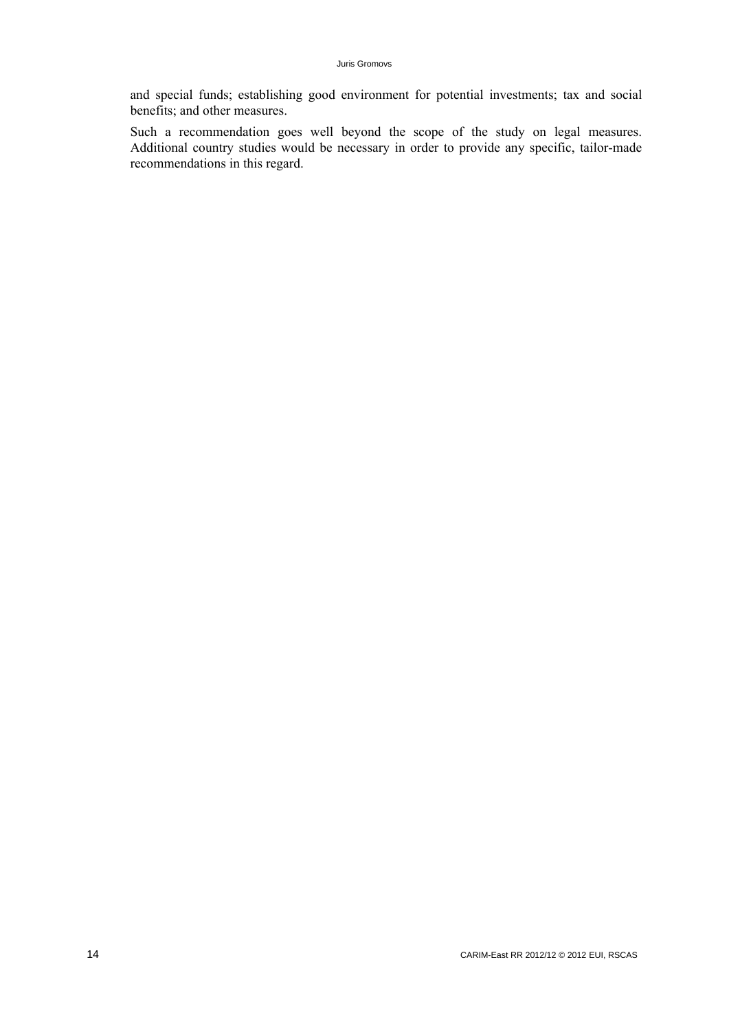and special funds; establishing good environment for potential investments; tax and social benefits; and other measures.

Such a recommendation goes well beyond the scope of the study on legal measures. Additional country studies would be necessary in order to provide any specific, tailor-made recommendations in this regard.